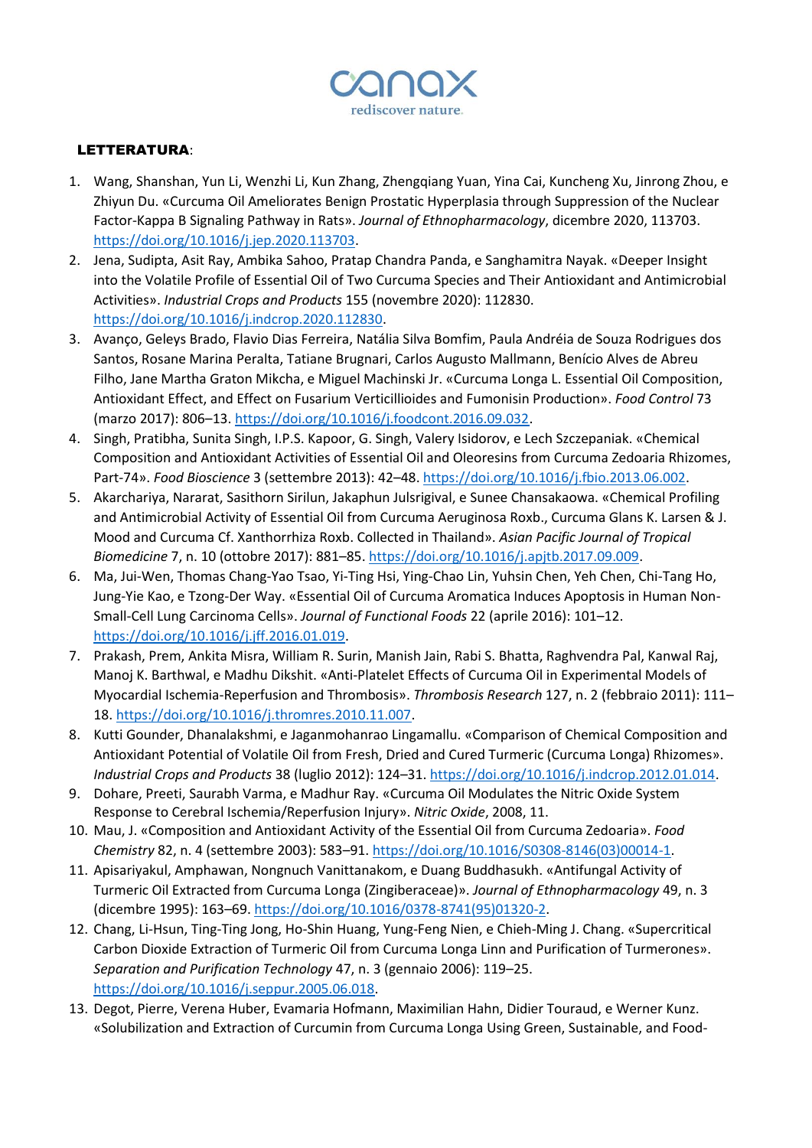

## LETTERATURA:

- 1. Wang, Shanshan, Yun Li, Wenzhi Li, Kun Zhang, Zhengqiang Yuan, Yina Cai, Kuncheng Xu, Jinrong Zhou, e Zhiyun Du. «Curcuma Oil Ameliorates Benign Prostatic Hyperplasia through Suppression of the Nuclear Factor-Kappa B Signaling Pathway in Rats». *Journal of Ethnopharmacology*, dicembre 2020, 113703. [https://doi.org/10.1016/j.jep.2020.113703.](https://doi.org/10.1016/j.jep.2020.113703)
- 2. Jena, Sudipta, Asit Ray, Ambika Sahoo, Pratap Chandra Panda, e Sanghamitra Nayak. «Deeper Insight into the Volatile Profile of Essential Oil of Two Curcuma Species and Their Antioxidant and Antimicrobial Activities». *Industrial Crops and Products* 155 (novembre 2020): 112830. [https://doi.org/10.1016/j.indcrop.2020.112830.](https://doi.org/10.1016/j.indcrop.2020.112830)
- 3. Avanço, Geleys Brado, Flavio Dias Ferreira, Natália Silva Bomfim, Paula Andréia de Souza Rodrigues dos Santos, Rosane Marina Peralta, Tatiane Brugnari, Carlos Augusto Mallmann, Benício Alves de Abreu Filho, Jane Martha Graton Mikcha, e Miguel Machinski Jr. «Curcuma Longa L. Essential Oil Composition, Antioxidant Effect, and Effect on Fusarium Verticillioides and Fumonisin Production». *Food Control* 73 (marzo 2017): 806–13. [https://doi.org/10.1016/j.foodcont.2016.09.032.](https://doi.org/10.1016/j.foodcont.2016.09.032)
- 4. Singh, Pratibha, Sunita Singh, I.P.S. Kapoor, G. Singh, Valery Isidorov, e Lech Szczepaniak. «Chemical Composition and Antioxidant Activities of Essential Oil and Oleoresins from Curcuma Zedoaria Rhizomes, Part-74». *Food Bioscience* 3 (settembre 2013): 42–48. [https://doi.org/10.1016/j.fbio.2013.06.002.](https://doi.org/10.1016/j.fbio.2013.06.002)
- 5. Akarchariya, Nararat, Sasithorn Sirilun, Jakaphun Julsrigival, e Sunee Chansakaowa. «Chemical Profiling and Antimicrobial Activity of Essential Oil from Curcuma Aeruginosa Roxb., Curcuma Glans K. Larsen & J. Mood and Curcuma Cf. Xanthorrhiza Roxb. Collected in Thailand». *Asian Pacific Journal of Tropical Biomedicine* 7, n. 10 (ottobre 2017): 881–85[. https://doi.org/10.1016/j.apjtb.2017.09.009.](https://doi.org/10.1016/j.apjtb.2017.09.009)
- 6. Ma, Jui-Wen, Thomas Chang-Yao Tsao, Yi-Ting Hsi, Ying-Chao Lin, Yuhsin Chen, Yeh Chen, Chi-Tang Ho, Jung-Yie Kao, e Tzong-Der Way. «Essential Oil of Curcuma Aromatica Induces Apoptosis in Human Non-Small-Cell Lung Carcinoma Cells». *Journal of Functional Foods* 22 (aprile 2016): 101–12. [https://doi.org/10.1016/j.jff.2016.01.019.](https://doi.org/10.1016/j.jff.2016.01.019)
- 7. Prakash, Prem, Ankita Misra, William R. Surin, Manish Jain, Rabi S. Bhatta, Raghvendra Pal, Kanwal Raj, Manoj K. Barthwal, e Madhu Dikshit. «Anti-Platelet Effects of Curcuma Oil in Experimental Models of Myocardial Ischemia-Reperfusion and Thrombosis». *Thrombosis Research* 127, n. 2 (febbraio 2011): 111– 18. [https://doi.org/10.1016/j.thromres.2010.11.007.](https://doi.org/10.1016/j.thromres.2010.11.007)
- 8. Kutti Gounder, Dhanalakshmi, e Jaganmohanrao Lingamallu. «Comparison of Chemical Composition and Antioxidant Potential of Volatile Oil from Fresh, Dried and Cured Turmeric (Curcuma Longa) Rhizomes». *Industrial Crops and Products* 38 (luglio 2012): 124–31[. https://doi.org/10.1016/j.indcrop.2012.01.014.](https://doi.org/10.1016/j.indcrop.2012.01.014)
- 9. Dohare, Preeti, Saurabh Varma, e Madhur Ray. «Curcuma Oil Modulates the Nitric Oxide System Response to Cerebral Ischemia/Reperfusion Injury». *Nitric Oxide*, 2008, 11.
- 10. Mau, J. «Composition and Antioxidant Activity of the Essential Oil from Curcuma Zedoaria». *Food Chemistry* 82, n. 4 (settembre 2003): 583–91. [https://doi.org/10.1016/S0308-8146\(03\)00014-1.](https://doi.org/10.1016/S0308-8146(03)00014-1)
- 11. Apisariyakul, Amphawan, Nongnuch Vanittanakom, e Duang Buddhasukh. «Antifungal Activity of Turmeric Oil Extracted from Curcuma Longa (Zingiberaceae)». *Journal of Ethnopharmacology* 49, n. 3 (dicembre 1995): 163–69[. https://doi.org/10.1016/0378-8741\(95\)01320-2.](https://doi.org/10.1016/0378-8741(95)01320-2)
- 12. Chang, Li-Hsun, Ting-Ting Jong, Ho-Shin Huang, Yung-Feng Nien, e Chieh-Ming J. Chang. «Supercritical Carbon Dioxide Extraction of Turmeric Oil from Curcuma Longa Linn and Purification of Turmerones». *Separation and Purification Technology* 47, n. 3 (gennaio 2006): 119–25. [https://doi.org/10.1016/j.seppur.2005.06.018.](https://doi.org/10.1016/j.seppur.2005.06.018)
- 13. Degot, Pierre, Verena Huber, Evamaria Hofmann, Maximilian Hahn, Didier Touraud, e Werner Kunz. «Solubilization and Extraction of Curcumin from Curcuma Longa Using Green, Sustainable, and Food-